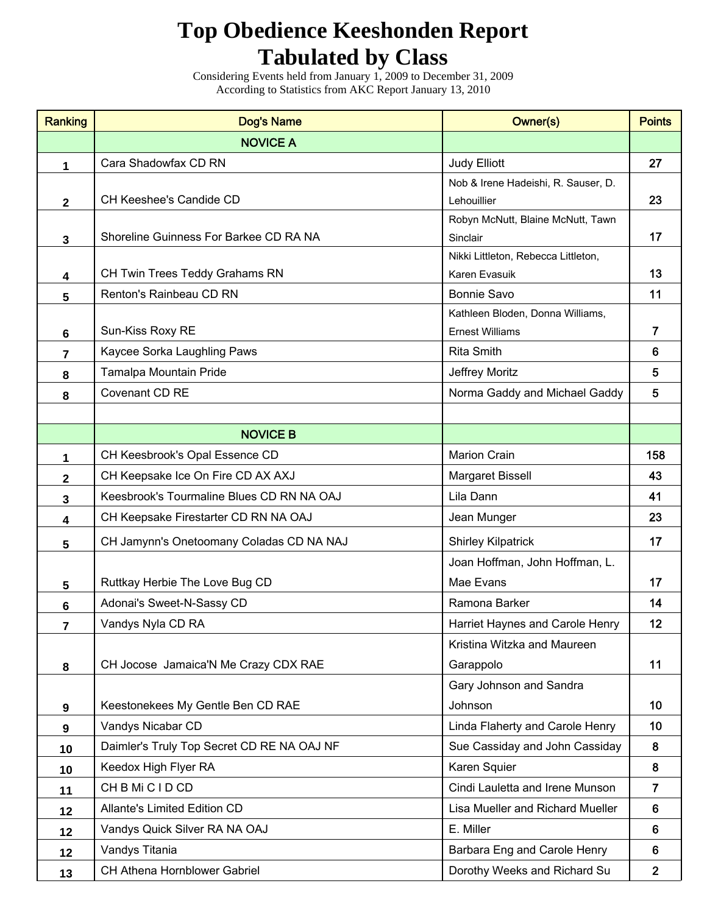## **Top Obedience Keeshonden Report Tabulated by Class**

Considering Events held from January 1, 2009 to December 31, 2009 According to Statistics from AKC Report January 13, 2010

| <b>Ranking</b>          | <b>Dog's Name</b>                          | Owner(s)                                                   | <b>Points</b>  |
|-------------------------|--------------------------------------------|------------------------------------------------------------|----------------|
|                         | <b>NOVICE A</b>                            |                                                            |                |
| 1                       | Cara Shadowfax CD RN                       | <b>Judy Elliott</b>                                        | 27             |
|                         |                                            | Nob & Irene Hadeishi, R. Sauser, D.                        |                |
| $\mathbf{2}$            | CH Keeshee's Candide CD                    | Lehouillier                                                | 23             |
|                         |                                            | Robyn McNutt, Blaine McNutt, Tawn                          |                |
| $\mathbf{3}$            | Shoreline Guinness For Barkee CD RA NA     | Sinclair                                                   | 17             |
|                         |                                            | Nikki Littleton, Rebecca Littleton,                        |                |
| $\overline{\mathbf{4}}$ | CH Twin Trees Teddy Grahams RN             | Karen Evasuik                                              | 13             |
| 5                       | Renton's Rainbeau CD RN                    | <b>Bonnie Savo</b>                                         | 11             |
|                         | Sun-Kiss Roxy RE                           | Kathleen Bloden, Donna Williams,<br><b>Ernest Williams</b> | $\overline{7}$ |
| 6                       |                                            | <b>Rita Smith</b>                                          | 6              |
| $\overline{7}$          | Kaycee Sorka Laughling Paws                |                                                            | 5              |
| 8                       | Tamalpa Mountain Pride                     | Jeffrey Moritz                                             | 5              |
| 8                       | Covenant CD RE                             | Norma Gaddy and Michael Gaddy                              |                |
|                         |                                            |                                                            |                |
|                         | <b>NOVICE B</b>                            |                                                            |                |
| 1                       | CH Keesbrook's Opal Essence CD             | <b>Marion Crain</b>                                        | 158            |
| $\mathbf{2}$            | CH Keepsake Ice On Fire CD AX AXJ          | Margaret Bissell                                           | 43             |
| 3                       | Keesbrook's Tourmaline Blues CD RN NA OAJ  | Lila Dann                                                  | 41             |
| 4                       | CH Keepsake Firestarter CD RN NA OAJ       | Jean Munger                                                | 23             |
| $5\phantom{.0}$         | CH Jamynn's Onetoomany Coladas CD NA NAJ   | <b>Shirley Kilpatrick</b>                                  | 17             |
|                         |                                            | Joan Hoffman, John Hoffman, L.                             |                |
| $5\phantom{.0}$         | Ruttkay Herbie The Love Bug CD             | Mae Evans                                                  | 17             |
| $6\phantom{a}$          | Adonai's Sweet-N-Sassy CD                  | Ramona Barker                                              | 14             |
| 7                       | Vandys Nyla CD RA                          | Harriet Haynes and Carole Henry                            | 12             |
|                         |                                            | Kristina Witzka and Maureen                                |                |
| 8                       | CH Jocose Jamaica'N Me Crazy CDX RAE       | Garappolo                                                  | 11             |
|                         |                                            | Gary Johnson and Sandra                                    |                |
| $\boldsymbol{9}$        | Keestonekees My Gentle Ben CD RAE          | Johnson                                                    | 10             |
| $\boldsymbol{9}$        | Vandys Nicabar CD                          | Linda Flaherty and Carole Henry                            | 10             |
| 10                      | Daimler's Truly Top Secret CD RE NA OAJ NF | Sue Cassiday and John Cassiday                             | 8              |
| 10                      | Keedox High Flyer RA                       | Karen Squier                                               | 8              |
| 11                      | CH B Mi C I D CD                           | Cindi Lauletta and Irene Munson                            | $\overline{7}$ |
| 12                      | <b>Allante's Limited Edition CD</b>        | Lisa Mueller and Richard Mueller                           |                |
| 12                      | Vandys Quick Silver RA NA OAJ              | E. Miller                                                  |                |
| 12                      | Vandys Titania                             | Barbara Eng and Carole Henry                               | 6              |
| 13                      | CH Athena Hornblower Gabriel               | Dorothy Weeks and Richard Su                               | $\overline{2}$ |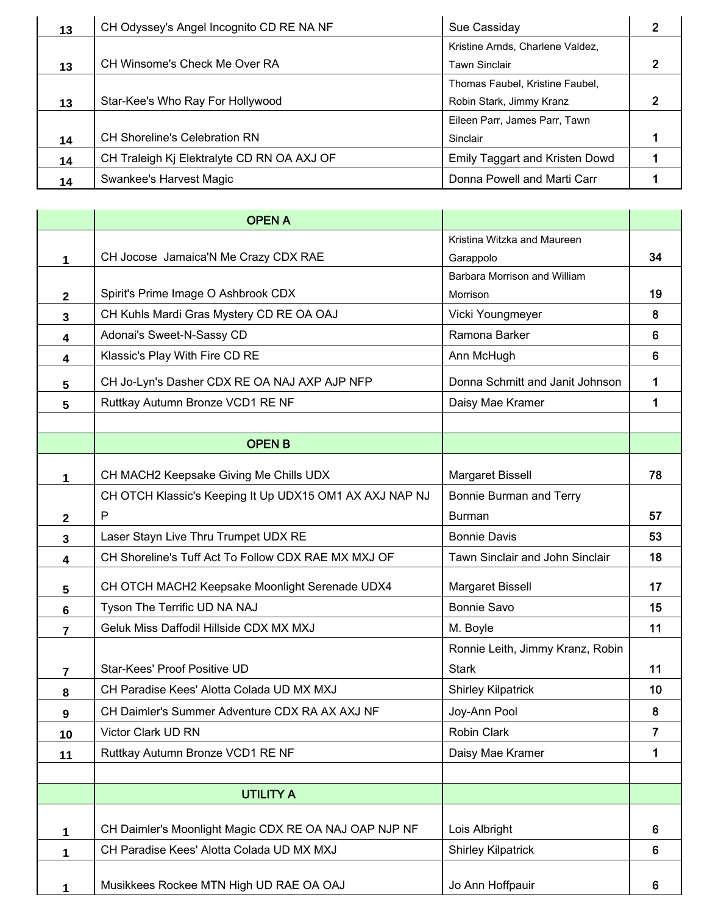| 13 | CH Odyssey's Angel Incognito CD RE NA NF               | Sue Cassiday                     |  |
|----|--------------------------------------------------------|----------------------------------|--|
|    |                                                        | Kristine Arnds, Charlene Valdez, |  |
| 13 | CH Winsome's Check Me Over RA                          | <b>Tawn Sinclair</b>             |  |
|    |                                                        | Thomas Faubel, Kristine Faubel,  |  |
| 13 | Star-Kee's Who Ray For Hollywood                       | Robin Stark, Jimmy Kranz         |  |
|    |                                                        | Eileen Parr, James Parr, Tawn    |  |
| 14 | <b>CH Shoreline's Celebration RN</b>                   | Sinclair                         |  |
| 14 | CH Traleigh Kj Elektralyte CD RN OA AXJ OF             | Emily Taggart and Kristen Dowd   |  |
| 14 | Donna Powell and Marti Carr<br>Swankee's Harvest Magic |                                  |  |

|                         | <b>OPEN A</b>                                           |                                  |                |
|-------------------------|---------------------------------------------------------|----------------------------------|----------------|
|                         |                                                         | Kristina Witzka and Maureen      |                |
| 1                       | CH Jocose Jamaica'N Me Crazy CDX RAE                    | Garappolo                        | 34             |
|                         |                                                         | Barbara Morrison and William     |                |
| $\mathbf{2}$            | Spirit's Prime Image O Ashbrook CDX                     | Morrison                         |                |
| $\overline{\mathbf{3}}$ | CH Kuhls Mardi Gras Mystery CD RE OA OAJ                | Vicki Youngmeyer                 | 8              |
| 4                       | Adonai's Sweet-N-Sassy CD                               | Ramona Barker                    | $6\phantom{1}$ |
| 4                       | Klassic's Play With Fire CD RE                          | Ann McHugh                       | 6              |
| 5                       | CH Jo-Lyn's Dasher CDX RE OA NAJ AXP AJP NFP            | Donna Schmitt and Janit Johnson  | 1              |
| 5                       | Ruttkay Autumn Bronze VCD1 RE NF                        | Daisy Mae Kramer                 | 1              |
|                         |                                                         |                                  |                |
|                         | <b>OPEN B</b>                                           |                                  |                |
| 1                       | CH MACH2 Keepsake Giving Me Chills UDX                  | Margaret Bissell                 | 78             |
|                         | CH OTCH Klassic's Keeping It Up UDX15 OM1 AX AXJ NAP NJ | Bonnie Burman and Terry          |                |
| $\mathbf{2}$            | P                                                       | <b>Burman</b>                    | 57             |
| $\mathbf{3}$            | Laser Stayn Live Thru Trumpet UDX RE                    | <b>Bonnie Davis</b>              | 53             |
| 4                       | CH Shoreline's Tuff Act To Follow CDX RAE MX MXJ OF     | Tawn Sinclair and John Sinclair  | 18             |
| 5                       | CH OTCH MACH2 Keepsake Moonlight Serenade UDX4          | Margaret Bissell                 | 17             |
| 6                       | Tyson The Terrific UD NA NAJ                            | <b>Bonnie Savo</b>               | 15             |
| 7                       | Geluk Miss Daffodil Hillside CDX MX MXJ                 | M. Boyle                         | 11             |
|                         |                                                         | Ronnie Leith, Jimmy Kranz, Robin |                |
| $\overline{7}$          | Star-Kees' Proof Positive UD                            | <b>Stark</b>                     | 11             |
| 8                       | CH Paradise Kees' Alotta Colada UD MX MXJ               | <b>Shirley Kilpatrick</b>        | 10             |
| 9                       | CH Daimler's Summer Adventure CDX RA AX AXJ NF          | Joy-Ann Pool                     | 8              |
| 10                      | Victor Clark UD RN                                      | Robin Clark                      | 7              |
| 11                      | Ruttkay Autumn Bronze VCD1 RE NF                        | Daisy Mae Kramer                 | 1              |
|                         |                                                         |                                  |                |
|                         | <b>UTILITY A</b>                                        |                                  |                |
| 1                       | CH Daimler's Moonlight Magic CDX RE OA NAJ OAP NJP NF   | Lois Albright                    | 6              |
| 1                       | CH Paradise Kees' Alotta Colada UD MX MXJ               | <b>Shirley Kilpatrick</b>        | 6              |
|                         |                                                         |                                  |                |
| 1                       | Musikkees Rockee MTN High UD RAE OA OAJ                 | Jo Ann Hoffpauir                 | 6              |